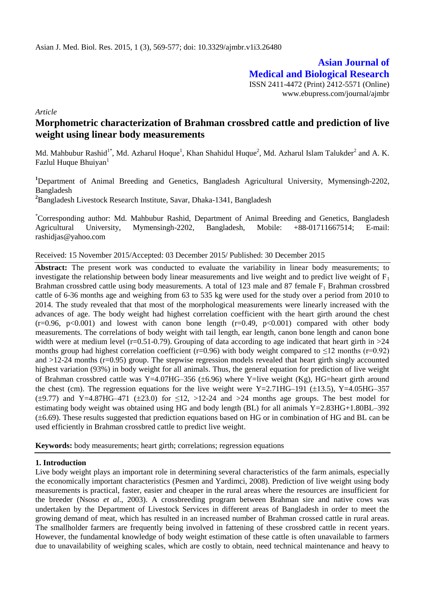# **Asian Journal of Medical and Biological Research**

ISSN 2411-4472 (Print) 2412-5571 (Online) www.ebupress.com/journal/ajmbr

*Article*

## **Morphometric characterization of Brahman crossbred cattle and prediction of live weight using linear body measurements**

Md. Mahbubur Rashid<sup>1\*</sup>, Md. Azharul Hoque<sup>1</sup>, Khan Shahidul Huque<sup>2</sup>, Md. Azharul Islam Talukder<sup>2</sup> and A. K. Fazlul Huque Bhuiyan $<sup>1</sup>$ </sup>

<sup>1</sup>Department of Animal Breeding and Genetics, Bangladesh Agricultural University, Mymensingh-2202, Bangladesh

**<sup>2</sup>**Bangladesh Livestock Research Institute, Savar, Dhaka-1341, Bangladesh

\*Corresponding author: Md. Mahbubur Rashid, Department of Animal Breeding and Genetics, Bangladesh Agricultural University, Mymensingh-2202, Bangladesh, Mobile: +88-01711667514; E-mail: [rashidjas@yahoo.com](mailto:rashidjas@yahoo.com)

Received: 15 November 2015/Accepted: 03 December 2015/ Published: 30 December 2015

**Abstract:** The present work was conducted to evaluate the variability in linear body measurements; to investigate the relationship between body linear measurements and live weight and to predict live weight of  $F_1$ Brahman crossbred cattle using body measurements. A total of 123 male and 87 female  $F_1$  Brahman crossbred cattle of 6-36 months age and weighing from 63 to 535 kg were used for the study over a period from 2010 to 2014. The study revealed that that most of the morphological measurements were linearly increased with the advances of age. The body weight had highest correlation coefficient with the heart girth around the chest  $(r=0.96, p<0.001)$  and lowest with canon bone length  $(r=0.49, p<0.001)$  compared with other body measurements. The correlations of body weight with tail length, ear length, canon bone length and canon bone width were at medium level ( $r=0.51-0.79$ ). Grouping of data according to age indicated that heart girth in  $>24$ months group had highest correlation coefficient (r=0.96) with body weight compared to  $\leq$ 12 months (r=0.92) and  $>12-24$  months ( $r=0.95$ ) group. The stepwise regression models revealed that heart girth singly accounted highest variation (93%) in body weight for all animals. Thus, the general equation for prediction of live weight of Brahman crossbred cattle was Y=4.07HG–356 ( $\pm$ 6.96) where Y=live weight (Kg), HG=heart girth around the chest (cm). The regression equations for the live weight were Y=2.71HG–191 ( $\pm$ 13.5), Y=4.05HG–357  $(\pm 9.77)$  and Y=4.87HG-471 ( $\pm 23.0$ ) for  $\leq 12$ ,  $>12-24$  and  $>24$  months age groups. The best model for estimating body weight was obtained using HG and body length (BL) for all animals Y=2.83HG+1.80BL–392  $(\pm 6.69)$ . These results suggested that prediction equations based on HG or in combination of HG and BL can be used efficiently in Brahman crossbred cattle to predict live weight.

**Keywords:** body measurements; heart girth; correlations; regression equations

#### **1. Introduction**

Live body weight plays an important role in determining several characteristics of the farm animals, especially the economically important characteristics (Pesmen and Yardimci, 2008). Prediction of live weight using body measurements is practical, faster, easier and cheaper in the rural areas where the resources are insufficient for the breeder (Nsoso *et al*., 2003). A crossbreeding program between Brahman sire and native cows was undertaken by the Department of Livestock Services in different areas of Bangladesh in order to meet the growing demand of meat, which has resulted in an increased number of Brahman crossed cattle in rural areas. The smallholder farmers are frequently being involved in fattening of these crossbred cattle in recent years. However, the fundamental knowledge of body weight estimation of these cattle is often unavailable to farmers due to unavailability of weighing scales, which are costly to obtain, need technical maintenance and heavy to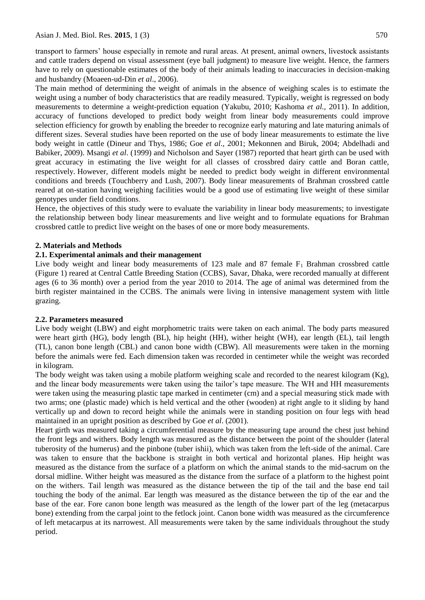transport to farmers' house especially in remote and rural areas. At present, animal owners, livestock assistants and cattle traders depend on visual assessment (eye ball judgment) to measure live weight. Hence, the farmers have to rely on questionable estimates of the body of their animals leading to inaccuracies in decision-making and husbandry (Moaeen-ud-Din *et al*., 2006).

The main method of determining the weight of animals in the absence of weighing scales is to estimate the weight using a number of body characteristics that are readily measured. Typically, weight is regressed on body measurements to determine a weight-prediction equation (Yakubu, 2010; Kashoma *et al.,* 2011). In addition, accuracy of functions developed to predict body weight from linear body measurements could improve selection efficiency for growth by enabling the breeder to recognize early maturing and late maturing animals of different sizes. Several studies have been reported on the use of body linear measurements to estimate the live body weight in cattle (Dineur and Thys, 1986; Goe *et al*., 2001; Mekonnen and Biruk, 2004; Abdelhadi and Babiker, 2009). Msangi *et al*. (1999) and Nicholson and Sayer (1987) reported that heart girth can be used with great accuracy in estimating the live weight for all classes of crossbred dairy cattle and Boran cattle, respectively. However, different models might be needed to predict body weight in different environmental conditions and breeds (Touchberry and Lush, 2007). Body linear measurements of Brahman crossbred cattle reared at on-station having weighing facilities would be a good use of estimating live weight of these similar genotypes under field conditions.

Hence, the objectives of this study were to evaluate the variability in linear body measurements; to investigate the relationship between body linear measurements and live weight and to formulate equations for Brahman crossbred cattle to predict live weight on the bases of one or more body measurements.

#### **2. Materials and Methods**

#### **2.1. Experimental animals and their management**

Live body weight and linear body measurements of 123 male and 87 female  $F_1$  Brahman crossbred cattle (Figure 1) reared at Central Cattle Breeding Station (CCBS), Savar, Dhaka, were recorded manually at different ages (6 to 36 month) over a period from the year 2010 to 2014. The age of animal was determined from the birth register maintained in the CCBS. The animals were living in intensive management system with little grazing.

#### **2.2. Parameters measured**

Live body weight (LBW) and eight morphometric traits were taken on each animal. The body parts measured were heart girth (HG), body length (BL), hip height (HH), wither height (WH), ear length (EL), tail length (TL), canon bone length (CBL) and canon bone width (CBW). All measurements were taken in the morning before the animals were fed. Each dimension taken was recorded in centimeter while the weight was recorded in kilogram.

The body weight was taken using a mobile platform weighing scale and recorded to the nearest kilogram (Kg), and the linear body measurements were taken using the tailor's tape measure. The WH and HH measurements were taken using the measuring plastic tape marked in centimeter (cm) and a special measuring stick made with two arms; one (plastic made) which is held vertical and the other (wooden) at right angle to it sliding by hand vertically up and down to record height while the animals were in standing position on four legs with head maintained in an upright position as described by Goe *et al*. (2001).

Heart girth was measured taking a circumferential measure by the measuring tape around the chest just behind the front legs and withers. Body length was measured as the distance between the point of the shoulder (lateral tuberosity of the humerus) and the pinbone (tuber ishii), which was taken from the left-side of the animal. Care was taken to ensure that the backbone is straight in both vertical and horizontal planes. Hip height was measured as the distance from the surface of a platform on which the animal stands to the mid-sacrum on the dorsal midline. Wither height was measured as the distance from the surface of a platform to the highest point on the withers. Tail length was measured as the distance between the tip of the tail and the base end tail touching the body of the animal. Ear length was measured as the distance between the tip of the ear and the base of the ear. Fore canon bone length was measured as the length of the lower part of the leg (metacarpus bone) extending from the carpal joint to the fetlock joint. Canon bone width was measured as the circumference of left metacarpus at its narrowest. All measurements were taken by the same individuals throughout the study period.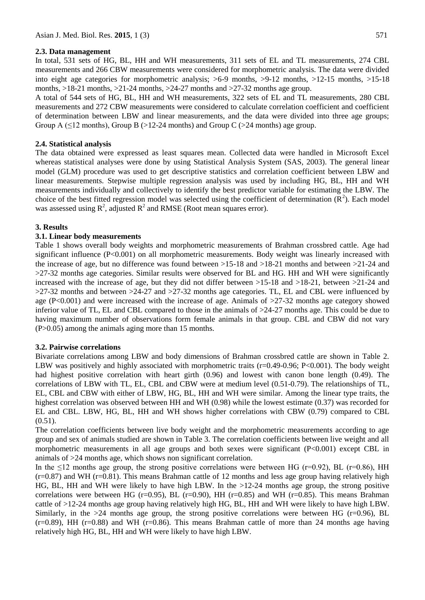#### **2.3. Data management**

In total, 531 sets of HG, BL, HH and WH measurements, 311 sets of EL and TL measurements, 274 CBL measurements and 266 CBW measurements were considered for morphometric analysis. The data were divided into eight age categories for morphometric analysis; >6-9 months, >9-12 months, >12-15 months, >15-18 months,  $>18-21$  months,  $>21-24$  months,  $>24-27$  months and  $>27-32$  months age group.

A total of 544 sets of HG, BL, HH and WH measurements, 322 sets of EL and TL measurements, 280 CBL measurements and 272 CBW measurements were considered to calculate correlation coefficient and coefficient of determination between LBW and linear measurements, and the data were divided into three age groups; Group A ( $\leq$ 12 months), Group B ( $>$ 12-24 months) and Group C ( $>$ 24 months) age group.

#### **2.4. Statistical analysis**

The data obtained were expressed as least squares mean. Collected data were handled in Microsoft Excel whereas statistical analyses were done by using Statistical Analysis System (SAS, 2003). The general linear model (GLM) procedure was used to get descriptive statistics and correlation coefficient between LBW and linear measurements. Stepwise multiple regression analysis was used by including HG, BL, HH and WH measurements individually and collectively to identify the best predictor variable for estimating the LBW. The choice of the best fitted regression model was selected using the coefficient of determination  $(R^2)$ . Each model was assessed using  $R^2$ , adjusted  $R^2$  and RMSE (Root mean squares error).

#### **3. Results**

#### **3.1. Linear body measurements**

Table 1 shows overall body weights and morphometric measurements of Brahman crossbred cattle. Age had significant influence (P<0.001) on all morphometric measurements. Body weight was linearly increased with the increase of age, but no difference was found between >15-18 and >18-21 months and between >21-24 and >27-32 months age categories. Similar results were observed for BL and HG. HH and WH were significantly increased with the increase of age, but they did not differ between >15-18 and >18-21, between >21-24 and  $>27-32$  months and between  $>24-27$  and  $>27-32$  months age categories. TL, EL and CBL were influenced by age (P<0.001) and were increased with the increase of age. Animals of  $>27-32$  months age category showed inferior value of TL, EL and CBL compared to those in the animals of >24-27 months age. This could be due to having maximum number of observations form female animals in that group. CBL and CBW did not vary (P>0.05) among the animals aging more than 15 months.

#### **3.2. Pairwise correlations**

Bivariate correlations among LBW and body dimensions of Brahman crossbred cattle are shown in Table 2. LBW was positively and highly associated with morphometric traits  $(r=0.49-0.96; P<0.001)$ . The body weight had highest positive correlation with heart girth (0.96) and lowest with canon bone length (0.49). The correlations of LBW with TL, EL, CBL and CBW were at medium level (0.51-0.79). The relationships of TL, EL, CBL and CBW with either of LBW, HG, BL, HH and WH were similar. Among the linear type traits, the highest correlation was observed between HH and WH (0.98) while the lowest estimate (0.37) was recorded for EL and CBL. LBW, HG, BL, HH and WH shows higher correlations with CBW (0.79) compared to CBL  $(0.51)$ .

The correlation coefficients between live body weight and the morphometric measurements according to age group and sex of animals studied are shown in Table 3. The correlation coefficients between live weight and all morphometric measurements in all age groups and both sexes were significant (P<0.001) except CBL in animals of >24 months age, which shows non significant correlation.

In the  $\leq$ 12 months age group, the strong positive correlations were between HG (r=0.92), BL (r=0.86), HH  $(r=0.87)$  and WH ( $r=0.81$ ). This means Brahman cattle of 12 months and less age group having relatively high HG, BL, HH and WH were likely to have high LBW. In the >12-24 months age group, the strong positive correlations were between HG (r=0.95), BL (r=0.90), HH (r=0.85) and WH (r=0.85). This means Brahman cattle of >12-24 months age group having relatively high HG, BL, HH and WH were likely to have high LBW. Similarly, in the  $>24$  months age group, the strong positive correlations were between HG ( $r=0.96$ ), BL  $(r=0.89)$ , HH  $(r=0.88)$  and WH  $(r=0.86)$ . This means Brahman cattle of more than 24 months age having relatively high HG, BL, HH and WH were likely to have high LBW.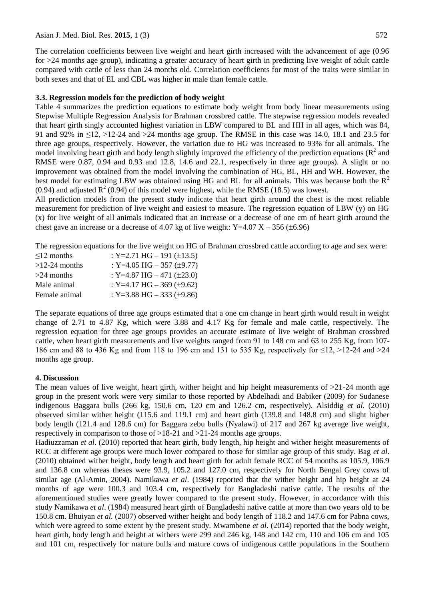The correlation coefficients between live weight and heart girth increased with the advancement of age (0.96 for >24 months age group), indicating a greater accuracy of heart girth in predicting live weight of adult cattle compared with cattle of less than 24 months old. Correlation coefficients for most of the traits were similar in both sexes and that of EL and CBL was higher in male than female cattle.

## **3.3. Regression models for the prediction of body weight**

Table 4 summarizes the prediction equations to estimate body weight from body linear measurements using Stepwise Multiple Regression Analysis for Brahman crossbred cattle. The stepwise regression models revealed that heart girth singly accounted highest variation in LBW compared to BL and HH in all ages, which was 84, 91 and 92% in ≤12, >12-24 and >24 months age group. The RMSE in this case was 14.0, 18.1 and 23.5 for three age groups, respectively. However, the variation due to HG was increased to 93% for all animals. The model involving heart girth and body length slightly improved the efficiency of the prediction equations ( $\mathbb{R}^2$  and RMSE were 0.87, 0.94 and 0.93 and 12.8, 14.6 and 22.1, respectively in three age groups). A slight or no improvement was obtained from the model involving the combination of HG, BL, HH and WH. However, the best model for estimating LBW was obtained using HG and BL for all animals. This was because both the  $R<sup>2</sup>$ (0.94) and adjusted  $R^2$  (0.94) of this model were highest, while the RMSE (18.5) was lowest.

All prediction models from the present study indicate that heart girth around the chest is the most reliable measurement for prediction of live weight and easiest to measure. The regression equation of LBW (y) on HG (x) for live weight of all animals indicated that an increase or a decrease of one cm of heart girth around the chest gave an increase or a decrease of 4.07 kg of live weight:  $Y=4.07 X - 356 (\pm 6.96)$ 

The regression equations for the live weight on HG of Brahman crossbred cattle according to age and sex were:

| $\leq$ 12 months | : Y=2.71 HG – 191 ( $\pm$ 13.5)   |
|------------------|-----------------------------------|
| $>12-24$ months  | : Y=4.05 HG $-$ 357 ( $\pm$ 9.77) |
| $>24$ months     | : Y=4.87 HG $-$ 471 ( $\pm$ 23.0) |
| Male animal      | : Y=4.17 HG $-$ 369 ( $\pm$ 9.62) |
| Female animal    | : Y=3.88 HG $-$ 333 ( $\pm$ 9.86) |

The separate equations of three age groups estimated that a one cm change in heart girth would result in weight change of 2.71 to 4.87 Kg, which were 3.88 and 4.17 Kg for female and male cattle, respectively. The regression equation for three age groups provides an accurate estimate of live weight of Brahman crossbred cattle, when heart girth measurements and live weights ranged from 91 to 148 cm and 63 to 255 Kg, from 107- 186 cm and 88 to 436 Kg and from 118 to 196 cm and 131 to 535 Kg, respectively for ≤12, >12-24 and >24 months age group.

## **4. Discussion**

The mean values of live weight, heart girth, wither height and hip height measurements of  $>21-24$  month age group in the present work were very similar to those reported by Abdelhadi and Babiker (2009) for Sudanese indigenous Baggara bulls (266 kg, 150.6 cm, 120 cm and 126.2 cm, respectively). Alsiddig *et al.* (2010) observed similar wither height (115.6 and 119.1 cm) and heart girth (139.8 and 148.8 cm) and slight higher body length (121.4 and 128.6 cm) for Baggara zebu bulls (Nyalawi) of 217 and 267 kg average live weight, respectively in comparison to those of >18-21 and >21-24 months age groups.

Hadiuzzaman *et al*. (2010) reported that heart girth, body length, hip height and wither height measurements of RCC at different age groups were much lower compared to those for similar age group of this study. Bag *et al*. (2010) obtained wither height, body length and heart girth for adult female RCC of 54 months as 105.9, 106.9 and 136.8 cm whereas theses were 93.9, 105.2 and 127.0 cm, respectively for North Bengal Grey cows of similar age (Al-Amin, 2004). Namikawa *et al*. (1984) reported that the wither height and hip height at 24 months of age were 100.3 and 103.4 cm, respectively for Bangladeshi native cattle. The results of the aforementioned studies were greatly lower compared to the present study. However, in accordance with this study Namikawa *et al*. (1984) measured heart girth of Bangladeshi native cattle at more than two years old to be 150.8 cm. Bhuiyan *et al.* (2007) observed wither height and body length of 118.2 and 147.6 cm for Pabna cows, which were agreed to some extent by the present study. Mwambene *et al.* (2014) reported that the body weight, heart girth, body length and height at withers were 299 and 246 kg, 148 and 142 cm, 110 and 106 cm and 105 and 101 cm, respectively for mature bulls and mature cows of indigenous cattle populations in the Southern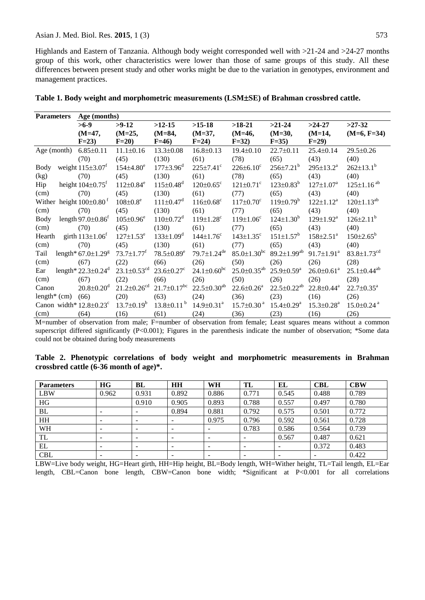Highlands and Eastern of Tanzania. Although body weight corresponded well with >21-24 and >24-27 months group of this work, other characteristics were lower than those of same groups of this study. All these differences between present study and other works might be due to the variation in genotypes, environment and management practices.

| <b>Parameters</b>                         | Age (months)                         |                               |                               |                               |                               |                              |                              |                               |
|-------------------------------------------|--------------------------------------|-------------------------------|-------------------------------|-------------------------------|-------------------------------|------------------------------|------------------------------|-------------------------------|
|                                           | $>6-9$                               | $>9-12$                       | $>12-15$                      | $>15-18$                      | $>18-21$                      | $>21-24$                     | $>24-27$                     | $>27-32$                      |
|                                           | $(M=47,$                             | $(M=25,$                      | $(M=84,$                      | $(M=37,$                      | $(M=46,$                      | $(M=30,$                     | $(M=14,$                     | $(M=6, F=34)$                 |
|                                           | $F=23$                               | $F=20$                        | $F=46$                        | $F=24$                        | $F=32$ )                      | $F=35$ )                     | $F=29$                       |                               |
| Age (month)                               | $6.85 \pm 0.11$                      | $11.1 \pm 0.16$               | $13.3 \pm 0.08$               | $16.8 \pm 0.13$               | $19.4 \pm 0.10$               | $22.7 \pm 0.11$              | $25.4 \pm 0.14$              | $29.5 \pm 0.26$               |
|                                           | (70)                                 | (45)                          | (130)                         | (61)                          | (78)                          | (65)                         | (43)                         | (40)                          |
| Body                                      | weight $115\pm3.07$ <sup>t</sup>     | $154{\pm}4.80^e$              | $177 \pm 3.96^{\mathrm{d}}$   | $225 \pm 7.41$ °              | $226 \pm 6.10$ <sup>c</sup>   | $256 \pm 7.21^b$             | $295 \pm 13.2^a$             | $262 \pm 13.1^b$              |
| (kg)                                      | (70)                                 | (45)                          | (130)                         | (61)                          | (78)                          | (65)                         | (43)                         | (40)                          |
| Hip                                       | height $104\pm0.75$ <sup>f</sup>     | $112 \pm 0.84^e$              | $115 \pm 0.48$ <sup>d</sup>   | $120 \pm 0.65$ °              | $121 \pm 0.71$ °              | $123 \pm 0.83^b$             | $127 \pm 1.07^a$             | $125 \pm 1.16$ <sup>ab</sup>  |
| (cm)                                      | (70)                                 | (45)                          | (130)                         | (61)                          | (77)                          | (65)                         | (43)                         | (40)                          |
| Wither height $100\pm0.80$ <sup>f</sup>   |                                      | $108 \pm 0.8^e$               | $111 \pm 0.47$ <sup>d</sup>   | $116 \pm 0.68$ <sup>c</sup>   | $117 \pm 0.70$ <sup>c</sup>   | $119 \pm 0.79^b$             | $122 \pm 1.12^a$             | $120 \pm 1.13^{ab}$           |
| (cm)                                      | (70)                                 | (45)                          | (130)                         | (61)                          | (77)                          | (65)                         | (43)                         | (40)                          |
| Body                                      | length $97.0 \pm 0.86$ <sup>t</sup>  | $105 \pm 0.96^e$              | $110 \pm 0.72$ <sup>d</sup>   | $119 \pm 1.28$ <sup>c</sup>   | $119 \pm 1.06^c$              | $124 \pm 1.30^b$             | $129 \pm 1.92^{\text{a}}$    | $126 \pm 2.11^b$              |
| (cm)                                      | (70)                                 | (45)                          | (130)                         | (61)                          | (77)                          | (65)                         | (43)                         | (40)                          |
| Hearth                                    | girth $113 \pm 1.06$ <sup>f</sup>    | $127 \pm 1.53^e$              | $133 \pm 1.09^d$              | $144 \pm 1.76$ <sup>c</sup>   | $143 \pm 1.35$ <sup>c</sup>   | $151 \pm 1.57^b$             | $158 \pm 2.51$ <sup>a</sup>  | $150 \pm 2.65^{\rm b}$        |
| (cm)                                      | (70)                                 | (45)                          | (130)                         | (61)                          | (77)                          | (65)                         | (43)                         | (40)                          |
| Tail                                      | length* $67.0 \pm 1.29$ <sup>g</sup> | $73.7 \pm 1.77^{\mathrm{t}}$  | $78.5 \pm 0.89^e$             | $79.7 \pm 1.24$ <sup>de</sup> | $85.0 \pm 1.30$ <sup>bc</sup> | $89.2 \pm 1.99^{ab}$         | $91.7 \pm 1.91^a$            | $83.8 \pm 1.73$ <sup>cd</sup> |
| (cm)                                      | (67)                                 | (22)                          | (66)                          | (26)                          | (50)                          | (26)                         | (26)                         | (28)                          |
| Ear                                       | length* $22.3 \pm 0.24$ <sup>d</sup> | $23.1 \pm 0.53$ <sup>cd</sup> | $23.6 \pm 0.27$ °             | $24.1 \pm 0.60^{\rm bc}$      | $25.0 \pm 0.35^{ab}$          | $25.9 \pm 0.59^a$            | $26.0 \pm 0.61$ <sup>a</sup> | $25.1 \pm 0.44^{ab}$          |
| (cm)                                      | (67)                                 | (22)                          | (66)                          | (26)                          | (50)                          | (26)                         | (26)                         | (28)                          |
| Canon                                     | $20.8 \pm 0.20$ <sup>d</sup>         | $21.2 \pm 0.26$ <sup>cd</sup> | $21.7 \pm 0.17$ <sup>bc</sup> | $22.5 \pm 0.30^{ab}$          | $22.6 \pm 0.26$ <sup>a</sup>  | $22.5 \pm 0.22^{ab}$         | $22.8 \pm 0.44$ <sup>a</sup> | $22.7 \pm 0.35^{\text{a}}$    |
| length $*(cm)$                            | (66)                                 | (20)                          | (63)                          | (24)                          | (36)                          | (23)                         | (16)                         | (26)                          |
| Canon width* $12.8 \pm 0.23$ <sup>c</sup> |                                      | $13.7 \pm 0.19^b$             | $13.8 \pm 0.11^{\mathrm{b}}$  | $14.9 \pm 0.31$ <sup>a</sup>  | $15.7 \pm 0.30$ <sup>a</sup>  | $15.4 \pm 0.29$ <sup>a</sup> | $15.3 \pm 0.28$ <sup>a</sup> | $15.0 \pm 0.24$ <sup>a</sup>  |
| (cm)                                      | (64)                                 | (16)                          | (61)                          | (24)                          | (36)                          | (23)                         | (16)                         | (26)                          |

**Table 1. Body weight and morphometric measurements (LSMSE) of Brahman crossbred cattle.**

M=number of observation from male; F=number of observation from female; Least squares means without a common superscript differed significantly (P<0.001); Figures in the parenthesis indicate the number of observation; \*Some data could not be obtained during body measurements

|  |                                                    |  |  | Table 2. Phenotypic correlations of body weight and morphometric measurements in Brahman |  |
|--|----------------------------------------------------|--|--|------------------------------------------------------------------------------------------|--|
|  | crossbred cattle $(6-36 \text{ month of age})^*$ . |  |  |                                                                                          |  |

| <b>Parameters</b> | <b>HG</b> | BL                       | <b>HH</b> | WH                       | TL                       | EL    | <b>CBL</b> | <b>CBW</b> |
|-------------------|-----------|--------------------------|-----------|--------------------------|--------------------------|-------|------------|------------|
| <b>LBW</b>        | 0.962     | 0.931                    | 0.892     | 0.886                    | 0.771                    | 0.545 | 0.488      | 0.789      |
| HG                |           | 0.910                    | 0.905     | 0.893                    | 0.788                    | 0.557 | 0.497      | 0.780      |
| BL                |           | $\overline{\phantom{0}}$ | 0.894     | 0.881                    | 0.792                    | 0.575 | 0.501      | 0.772      |
| HH                |           | $\overline{\phantom{0}}$ |           | 0.975                    | 0.796                    | 0.592 | 0.561      | 0.728      |
| WH                |           | $\overline{\phantom{0}}$ |           |                          | 0.783                    | 0.586 | 0.564      | 0.739      |
| TL                |           | $\sim$                   |           |                          | $\overline{\phantom{a}}$ | 0.567 | 0.487      | 0.621      |
| EL                |           | $\overline{\phantom{0}}$ |           | -                        | $\overline{\phantom{0}}$ |       | 0.372      | 0.483      |
| <b>CBL</b>        |           | -                        | -         | $\overline{\phantom{a}}$ | $\overline{\phantom{a}}$ |       | -          | 0.422      |

LBW=Live body weight, HG=Heart girth, HH=Hip height, BL=Body length, WH=Wither height, TL=Tail length, EL=Ear length, CBL=Canon bone length, CBW=Canon bone width; \*Significant at P<0.001 for all correlations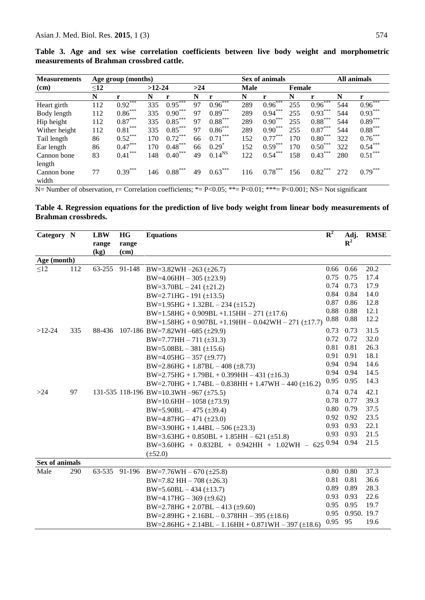| <b>Measurements</b> | Age group (months) |             |          |                       |     |                       |      | Sex of animals | All animals   |           |     |           |
|---------------------|--------------------|-------------|----------|-----------------------|-----|-----------------------|------|----------------|---------------|-----------|-----|-----------|
| $(cm)$              | $\leq12$           |             | $>12-24$ |                       | >24 |                       | Male |                | <b>Female</b> |           |     |           |
|                     | N                  | r           | N        | r                     | N   | $\mathbf{r}$          | N    | r              | N             | r         | N   | <b>r</b>  |
| Heart girth         | 112                | $0.92***$   | 335      | $0.95***$             | 97  | $0.96***$             | 289  | $0.96***$      | 255           | $0.96***$ | 544 | $0.96***$ |
| Body length         | 112                | $0.86***$   | 335      | $0.90***$             | 97  | $0.89***$             | 289  | $0.94***$      | 255           | $0.93***$ | 544 | $0.93***$ |
| Hip height          | 112                | $0.87***$   | 335      | $0.85***$             | 97  | $0.88^{\ast\ast\ast}$ | 289  | $0.90***$      | 255           | $0.88***$ | 544 | $0.89***$ |
| Wither height       | 112                | $0.81***$   | 335      | $0.85***$             | 97  | $0.86***$             | 289  | $0.90***$      | 255           | $0.87***$ | 544 | $0.88***$ |
| Tail length         | 86                 | $0.52***$   | 170      | $0.72***$             | 66  | $0.71***$             | 152  | $0.77***$      | 170           | $0.80***$ | 322 | $0.76***$ |
| Ear length          | 86                 | $0.47***$   | 170      | $0.48***$             | 66  | $0.29^*$              | 152  | $0.59***$      | 170           | $0.50***$ | 322 | $0.54***$ |
| Cannon bone         | 83                 | ***<br>0.41 | 148      | ***<br>$0.40^{\circ}$ | 49  | $0.14^{NS}$           | 122  | $0.54***$      | 158           | $0.43***$ | 280 | $0.51***$ |
| length              |                    |             |          |                       |     |                       |      |                |               |           |     |           |
| Cannon bone         | 77                 | $0.39***$   | 146      | $0.88***$             | 49  | $0.63***$             | 116  | $0.78***$      | 156           | $0.82***$ | 272 | $0.79***$ |
| width               |                    |             |          |                       |     |                       |      |                |               |           |     |           |

**Table 3. Age and sex wise correlation coefficients between live body weight and morphometric measurements of Brahman crossbred cattle.**

 $N=$  Number of observation, r= Correlation coefficients; \*= P<0.05; \*\*= P<0.01; \*\*\*= P<0.001; NS= Not significant

**Table 4. Regression equations for the prediction of live body weight from linear body measurements of Brahman crossbreds.**

| Category N            |     | <b>LBW</b> | HG    | <b>Equations</b>                                                | $R^2$       | Adj.           | <b>RMSE</b> |
|-----------------------|-----|------------|-------|-----------------------------------------------------------------|-------------|----------------|-------------|
|                       |     | range      | range |                                                                 |             | $\mathbf{R}^2$ |             |
|                       |     | (kg)       | (cm)  |                                                                 |             |                |             |
| Age (month)           |     |            |       |                                                                 |             |                |             |
| $\leq$ 12             | 112 |            |       | 63-255 91-148 BW=3.82WH -263 (±26.7)                            | $0.66$ 0.66 |                | 20.2        |
|                       |     |            |       | $BW=4.06HH-305$ (±23.9)                                         | 0.75        | 0.75           | 17.4        |
|                       |     |            |       | $BW=3.70BL-241 (\pm 21.2)$                                      | $0.74$ 0.73 |                | 17.9        |
|                       |     |            |       | $BW=2.71HG - 191 (\pm 13.5)$                                    | 0.84 0.84   |                | 14.0        |
|                       |     |            |       | $BW=1.95HG + 1.32BL - 234 (\pm 15.2)$                           | 0.87        | 0.86           | 12.8        |
|                       |     |            |       | $BW=1.58HG + 0.909BL + 1.15HH - 271 (\pm 17.6)$                 | 0.88        | 0.88           | 12.1        |
|                       |     |            |       | $BW=1.58HG + 0.907BL + 1.19HH - 0.042WH - 271 (\pm 17.7)$       | 0.88        | 0.88           | 12.2        |
| $>12-24$              | 335 |            |       | 88-436 107-186 BW=7.82WH -685 (±29.9)                           | 0.73        | 0.73           | 31.5        |
|                       |     |            |       | $BW=7.77HH - 711 (\pm 31.3)$                                    | 0.72        | 0.72           | 32.0        |
|                       |     |            |       | $BW=5.08BL-381 (\pm 15.6)$                                      | 0.81        | 0.81           | 26.3        |
|                       |     |            |       | $BW=4.05HG-357(\pm 9.77)$                                       | 0.91        | 0.91           | 18.1        |
|                       |     |            |       | $BW=2.86HG + 1.87BL - 408 (\pm 8.73)$                           | 0.94 0.94   |                | 14.6        |
|                       |     |            |       | $BW=2.75HG + 1.79BL + 0.399HH - 431 (\pm 16.3)$                 |             | 0.94 0.94      | 14.5        |
|                       |     |            |       | $BW=2.70HG + 1.74BL - 0.838HH + 1.47WH - 440 (\pm 16.2)$        | 0.95 0.95   |                | 14.3        |
| >24                   | 97  |            |       | 131-535 118-196 BW=10.3WH -967 ( $\pm$ 75.5)                    | 0.74 0.74   |                | 42.1        |
|                       |     |            |       | $BW=10.6HH-1058$ (±73.9)                                        | 0.78        | 0.77           | 39.3        |
|                       |     |            |       | $BW=5.90BL-475 (\pm 39.4)$                                      | 0.80        | 0.79           | 37.5        |
|                       |     |            |       | $BW=4.87HG-471 (\pm 23.0)$                                      | 0.92        | 0.92           | 23.5        |
|                       |     |            |       | $BW=3.90HG + 1.44BL - 506 (\pm 23.3)$                           | 0.93 0.93   |                | 22.1        |
|                       |     |            |       | $BW=3.63HG + 0.850BL + 1.85HH - 621 (\pm 51.8)$                 | 0.93        | 0.93           | 21.5        |
|                       |     |            |       | BW=3.60HG + 0.832BL + 0.942HH + 1.02WH - 625 0.94 0.94          |             |                | 21.5        |
|                       |     |            |       | $(\pm 52.0)$                                                    |             |                |             |
| <b>Sex of animals</b> |     |            |       |                                                                 |             |                |             |
| Male                  | 290 |            |       | 63-535 91-196 BW=7.76WH - 670 (±25.8)                           | 0.80        | 0.80           | 37.3        |
|                       |     |            |       | BW=7.82 HH $-708$ (±26.3)                                       | 0.81        | 0.81           | 36.6        |
|                       |     |            |       | $BW=5.60BL-434 (\pm 13.7)$                                      | 0.89 0.89   |                | 28.3        |
|                       |     |            |       | $BW=4.17HG - 369 (\pm 9.62)$                                    | 0.93        | 0.93           | 22.6        |
|                       |     |            |       | $BW=2.78HG + 2.07BL - 413 \ (\pm 9.60)$                         | 0.95        | 0.95           | 19.7        |
|                       |     |            |       | $BW=2.89HG + 2.16BL - 0.378HH - 395 (\pm 18.6)$                 | 0.95        | 0.950. 19.7    |             |
|                       |     |            |       | $BW = 2.86HG + 2.14BL - 1.16HH + 0.871WH - 397 \text{ (+}18.6)$ | 0.95        | - 95           | 19.6        |
|                       |     |            |       |                                                                 |             |                |             |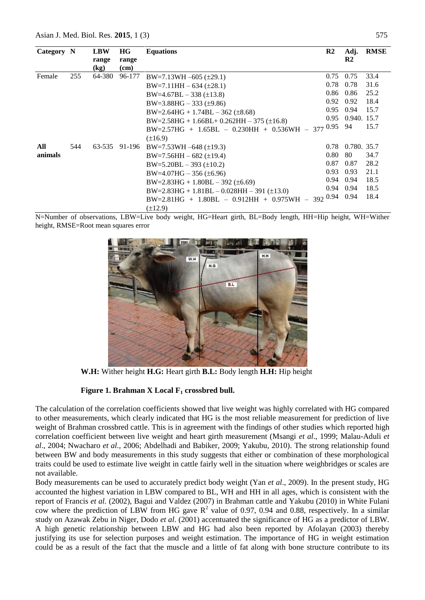| Category N |     | <b>LBW</b> | HG     | <b>Equations</b>                                          | $\mathbf{R2}$ | Adj.          | <b>RMSE</b> |
|------------|-----|------------|--------|-----------------------------------------------------------|---------------|---------------|-------------|
|            |     | range      | range  |                                                           |               | $\mathbf{R}2$ |             |
|            |     | (kg)       | (cm)   |                                                           |               |               |             |
| Female     | 255 | 64-380     | 96-177 | $BW=7.13WH -605 (\pm 29.1)$                               | 0.75          | 0.75          | 33.4        |
|            |     |            |        | $BW=7.11HH - 634 (\pm 28.1)$                              | 0.78          | 0.78          | 31.6        |
|            |     |            |        | $BW=4.67BL-338~(\pm 13.8)$                                | 0.86          | 0.86          | 25.2        |
|            |     |            |        | $BW=3.88HG - 333 \ (\pm 9.86)$                            | 0.92          | 0.92          | 18.4        |
|            |     |            |        | $BW=2.64HG + 1.74BL - 362 \ (\pm 8.68)$                   | 0.95          | 0.94          | 15.7        |
|            |     |            |        | $BW=2.58HG + 1.66BL+ 0.262HH - 375 \text{ (+16.8)}$       | 0.95          | 0.940. 15.7   |             |
|            |     |            |        | BW=2.57HG + 1.65BL - 0.230HH + 0.536WH - 377 0.95         |               | 94            | 15.7        |
|            |     |            |        | $(\pm 16.9)$                                              |               |               |             |
| All        | 544 |            |        | 63-535 91-196 BW=7.53WH -648 (±19.3)                      | 0.78          | 0.780, 35.7   |             |
| animals    |     |            |        | $BW=7.56HH-682$ (±19.4)                                   | 0.80          | 80            | 34.7        |
|            |     |            |        | $BW=5.20BL-393~(\pm 10.2)$                                | 0.87          | 0.87          | 28.2        |
|            |     |            |        | $BW=4.07HG - 356 (\pm 6.96)$                              | 0.93          | 0.93          | 21.1        |
|            |     |            |        | $BW=2.83HG + 1.80BL - 392 \ (\pm 6.69)$                   | 0.94          | 0.94          | 18.5        |
|            |     |            |        | $BW=2.83HG + 1.81BL - 0.028HH - 391 (\pm 13.0)$           | 0.94          | 0.94          | 18.5        |
|            |     |            |        | $-392^{0.94}$<br>$BW=2.81HG + 1.80BL - 0.912HH + 0.975WH$ |               | 0.94          | 18.4        |
|            |     |            |        | $(\pm 12.9)$                                              |               |               |             |

N=Number of observations, LBW=Live body weight, HG=Heart girth, BL=Body length, HH=Hip height, WH=Wither height, RMSE=Root mean squares error



**W.H:** Wither height **H.G:** Heart girth **B.L:** Body length **H.H:** Hip height

#### **Figure 1. Brahman X Local F<sup>1</sup> crossbred bull.**

The calculation of the correlation coefficients showed that live weight was highly correlated with HG compared to other measurements, which clearly indicated that HG is the most reliable measurement for prediction of live weight of Brahman crossbred cattle. This is in agreement with the findings of other studies which reported high correlation coefficient between live weight and heart girth measurement (Msangi *et al*., 1999; Malau-Aduli *et al*., 2004; Nwacharo *et al.,* 2006; Abdelhadi and Babiker, 2009; Yakubu, 2010). The strong relationship found between BW and body measurements in this study suggests that either or combination of these morphological traits could be used to estimate live weight in cattle fairly well in the situation where weighbridges or scales are not available.

Body measurements can be used to accurately predict body weight (Yan *et al*., 2009). In the present study, HG accounted the highest variation in LBW compared to BL, WH and HH in all ages, which is consistent with the report of Francis *et al.* (2002), Bagui and Valdez (2007) in Brahman cattle and Yakubu (2010) in White Fulani cow where the prediction of LBW from HG gave  $\mathbb{R}^2$  value of 0.97, 0.94 and 0.88, respectively. In a similar study on Azawak Zebu in Niger, Dodo *et al*. (2001) accentuated the significance of HG as a predictor of LBW. A high genetic relationship between LBW and HG had also been reported by Afolayan (2003) thereby justifying its use for selection purposes and weight estimation. The importance of HG in weight estimation could be as a result of the fact that the muscle and a little of fat along with bone structure contribute to its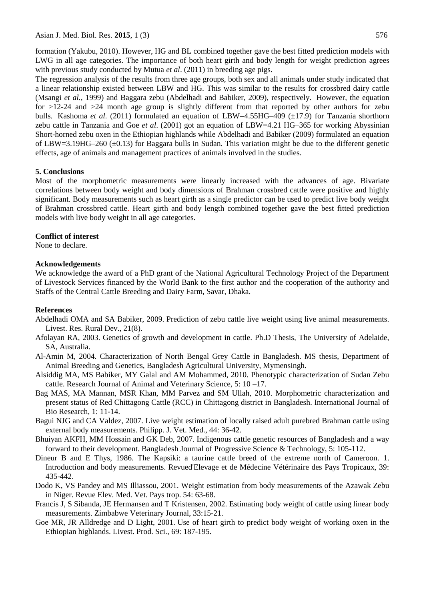Asian J. Med. Biol. Res. 2015, 1 (3) 576

formation (Yakubu, 2010). However, HG and BL combined together gave the best fitted prediction models with LWG in all age categories. The importance of both heart girth and body length for weight prediction agrees with previous study conducted by Mutua *et al*. (2011) in breeding age pigs.

The regression analysis of the results from three age groups, both sex and all animals under study indicated that a linear relationship existed between LBW and HG. This was similar to the results for crossbred dairy cattle (Msangi *et al.,* 1999) and Baggara zebu (Abdelhadi and Babiker, 2009), respectively. However, the equation for >12-24 and >24 month age group is slightly different from that reported by other authors for zebu bulls. Kashoma *et al.* (2011) formulated an equation of LBW=4.55HG–409 (±17.9) for Tanzania shorthorn zebu cattle in Tanzania and Goe *et al*. (2001) got an equation of LBW=4.21 HG–365 for working Abyssinian Short-horned zebu oxen in the Ethiopian highlands while Abdelhadi and Babiker (2009) formulated an equation of LBW=3.19HG–260  $(\pm 0.13)$  for Baggara bulls in Sudan. This variation might be due to the different genetic effects, age of animals and management practices of animals involved in the studies.

#### **5. Conclusions**

Most of the morphometric measurements were linearly increased with the advances of age. Bivariate correlations between body weight and body dimensions of Brahman crossbred cattle were positive and highly significant. Body measurements such as heart girth as a single predictor can be used to predict live body weight of Brahman crossbred cattle. Heart girth and body length combined together gave the best fitted prediction models with live body weight in all age categories.

## **Conflict of interest**

None to declare.

## **Acknowledgements**

We acknowledge the award of a PhD grant of the National Agricultural Technology Project of the Department of Livestock Services financed by the World Bank to the first author and the cooperation of the authority and Staffs of the Central Cattle Breeding and Dairy Farm, Savar, Dhaka.

## **References**

- Abdelhadi OMA and SA Babiker, 2009. Prediction of zebu cattle live weight using live animal measurements. Livest. Res. Rural Dev., 21(8).
- Afolayan RA, 2003. Genetics of growth and development in cattle. Ph.D Thesis, The University of Adelaide, SA, Australia.
- Al-Amin M, 2004. Characterization of North Bengal Grey Cattle in Bangladesh. MS thesis, Department of Animal Breeding and Genetics, Bangladesh Agricultural University, Mymensingh.
- Alsiddig MA, MS Babiker, MY Galal and AM Mohammed, 2010. Phenotypic characterization of Sudan Zebu cattle. Research Journal of Animal and Veterinary Science, 5: 10 –17.
- Bag MAS, MA Mannan, MSR Khan, MM Parvez and SM Ullah, 2010. Morphometric characterization and present status of Red Chittagong Cattle (RCC) in Chittagong district in Bangladesh. International Journal of Bio Research, 1: 11-14.
- Bagui NJG and CA Valdez, 2007. Live weight estimation of locally raised adult purebred Brahman cattle using external body measurements. Philipp. J. Vet. Med., 44: 36-42.
- Bhuiyan AKFH, MM Hossain and GK Deb, 2007. Indigenous cattle genetic resources of Bangladesh and a way forward to their development. Bangladesh Journal of Progressive Science & Technology, 5: 105-112.
- Dineur B and E Thys, 1986. The Kapsiki: a taurine cattle breed of the extreme north of Cameroon. 1. Introduction and body measurements. Revued'Elevage et de Médecine Vétérinaire des Pays Tropicaux, 39: 435-442.
- Dodo K, VS Pandey and MS Illiassou, 2001. Weight estimation from body measurements of the Azawak Zebu in Niger. Revue Elev. Med. Vet. Pays trop. 54: 63-68.
- Francis J, S Sibanda, JE Hermansen and T Kristensen, 2002. Estimating body weight of cattle using linear body measurements. Zimbabwe Veterinary Journal, 33:15-21.
- Goe MR, JR Alldredge and D Light, 2001. Use of heart girth to predict body weight of working oxen in the Ethiopian highlands. Livest. Prod. Sci., 69: 187-195.